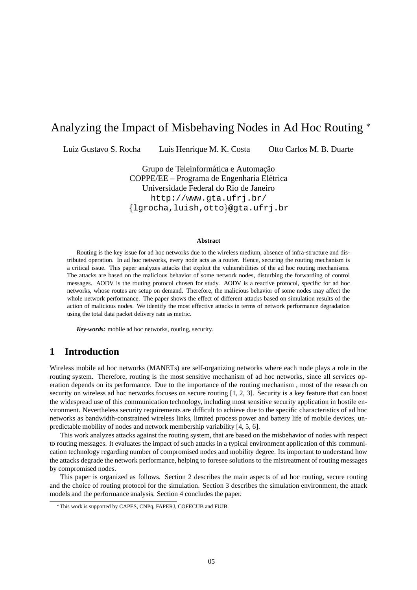# Analyzing the Impact of Misbehaving Nodes in Ad Hoc Routing

Luiz Gustavo S. Rocha Luís Henrique M. K. Costa Otto Carlos M. B. Duarte

Grupo de Teleinformática e Automacão COPPE/EE – Programa de Engenharia Elétrica Universidade Federal do Rio de Janeiro http://www.gta.ufrj.br/  $\{1$ grocha,luish,otto $\}$ @gta.ufrj.br

#### **Abstract**

Routing is the key issue for ad hoc networks due to the wireless medium, absence of infra-structure and distributed operation. In ad hoc networks, every node acts as a router. Hence, securing the routing mechanism is a critical issue. This paper analyzes attacks that exploit the vulnerabilities of the ad hoc routing mechanisms. The attacks are based on the malicious behavior of some network nodes, disturbing the forwarding of control messages. AODV is the routing protocol chosen for study. AODV is a reactive protocol, specific for ad hoc networks, whose routes are setup on demand. Therefore, the malicious behavior of some nodes may affect the whole network performance. The paper shows the effect of different attacks based on simulation results of the action of malicious nodes. We identify the most effective attacks in terms of network performance degradation using the total data packet delivery rate as metric.

*Key-words:* mobile ad hoc networks, routing, security.

# **1 Introduction**

Wireless mobile ad hoc networks (MANETs) are self-organizing networks where each node plays a role in the routing system. Therefore, routing is the most sensitive mechanism of ad hoc networks, since all services operation depends on its performance. Due to the importance of the routing mechanism , most of the research on security on wireless ad hoc networks focuses on secure routing [1, 2, 3]. Security is a key feature that can boost the widespread use of this communication technology, including most sensitive security application in hostile environment. Nevertheless security requirements are difficult to achieve due to the specific characteristics of ad hoc networks as bandwidth-constrained wireless links, limited process power and battery life of mobile devices, unpredictable mobility of nodes and network membership variability [4, 5, 6].

This work analyzes attacks against the routing system, that are based on the misbehavior of nodes with respect to routing messages. It evaluates the impact of such attacks in a typical environment application of this communication technology regarding number of compromised nodes and mobility degree. Its important to understand how the attacks degrade the network performance, helping to foresee solutions to the mistreatment of routing messages by compromised nodes.

This paper is organized as follows. Section 2 describes the main aspects of ad hoc routing, secure routing and the choice of routing protocol for the simulation. Section 3 describes the simulation environment, the attack models and the performance analysis. Section 4 concludes the paper.

This work is supported by CAPES, CNPq, FAPERJ, COFECUB and FUJB.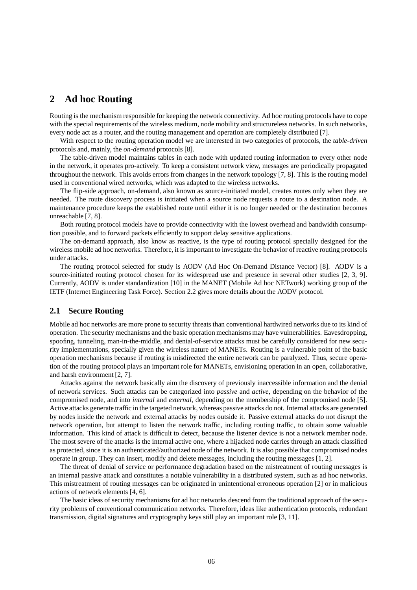## **2 Ad hoc Routing**

Routing is the mechanism responsible for keeping the network connectivity. Ad hoc routing protocols have to cope with the special requirements of the wireless medium, node mobility and structureless networks. In such networks, every node act as a router, and the routing management and operation are completely distributed [7].

With respect to the routing operation model we are interested in two categories of protocols, the *table-driven* protocols and, mainly, the *on-demand* protocols [8].

The table-driven model maintains tables in each node with updated routing information to every other node in the network, it operates pro-actively. To keep a consistent network view, messages are periodically propagated throughout the network. This avoids errors from changes in the network topology [7, 8]. This is the routing model used in conventional wired networks, which was adapted to the wireless networks.

The flip-side approach, on-demand, also known as source-initiated model, creates routes only when they are needed. The route discovery process is initiated when a source node requests a route to a destination node. A maintenance procedure keeps the established route until either it is no longer needed or the destination becomes unreachable [7, 8].

Both routing protocol models have to provide connectivity with the lowest overhead and bandwidth consumption possible, and to forward packets efficiently to support delay sensitive applications.

The on-demand approach, also know as reactive, is the type of routing protocol specially designed for the wireless mobile ad hoc networks. Therefore, it is important to investigate the behavior of reactive routing protocols under attacks.

The routing protocol selected for study is AODV (Ad Hoc On-Demand Distance Vector) [8]. AODV is a source-initiated routing protocol chosen for its widespread use and presence in several other studies [2, 3, 9]. Currently, AODV is under standardization [10] in the MANET (Mobile Ad hoc NETwork) working group of the IETF (Internet Engineering Task Force). Section 2.2 gives more details about the AODV protocol.

#### **2.1 Secure Routing**

Mobile ad hoc networks are more prone to security threats than conventional hardwired networks due to its kind of operation. The security mechanisms and the basic operation mechanisms may have vulnerabilities. Eavesdropping, spoofing, tunneling, man-in-the-middle, and denial-of-service attacks must be carefully considered for new security implementations, specially given the wireless nature of MANETs. Routing is a vulnerable point of the basic operation mechanisms because if routing is misdirected the entire network can be paralyzed. Thus, secure operation of the routing protocol plays an important role for MANETs, envisioning operation in an open, collaborative, and harsh environment [2, 7].

Attacks against the network basically aim the discovery of previously inaccessible information and the denial of network services. Such attacks can be categorized into *passive* and *active*, depending on the behavior of the compromised node, and into *internal* and *external*, depending on the membership of the compromised node [5]. Active attacks generate traffic in the targeted network, whereas passive attacks do not. Internal attacks are generated by nodes inside the network and external attacks by nodes outside it. Passive external attacks do not disrupt the network operation, but attempt to listen the network traffic, including routing traffic, to obtain some valuable information. This kind of attack is difficult to detect, because the listener device is not a network member node. The most severe of the attacks is the internal active one, where a hijacked node carries through an attack classified as protected, since it is an authenticated/authorized node of the network. It is also possible that compromised nodes operate in group. They can insert, modify and delete messages, including the routing messages [1, 2].

The threat of denial of service or performance degradation based on the mistreatment of routing messages is an internal passive attack and constitutes a notable vulnerability in a distributed system, such as ad hoc networks. This mistreatment of routing messages can be originated in unintentional erroneous operation [2] or in malicious actions of network elements [4, 6].

The basic ideas of security mechanisms for ad hoc networks descend from the traditional approach of the security problems of conventional communication networks. Therefore, ideas like authentication protocols, redundant transmission, digital signatures and cryptography keys still play an important role [3, 11].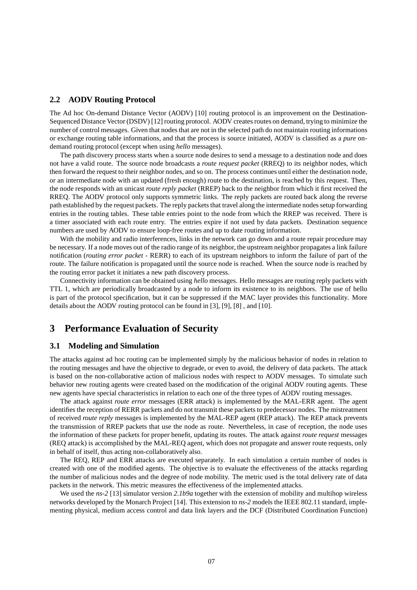#### **2.2 AODV Routing Protocol**

The Ad hoc On-demand Distance Vector (AODV) [10] routing protocol is an improvement on the Destination-Sequenced Distance Vector (DSDV) [12] routing protocol. AODV creates routes on demand, trying to minimize the number of control messages. Given that nodesthat are not in the selected path do not maintain routing informations or exchange routing table informations, and that the process is source initiated, AODV is classified as a *pure* ondemand routing protocol (except when using *hello* messages).

The path discovery process starts when a source node desires to send a message to a destination node and does not have a valid route. The source node broadcasts a *route request packet* (RREQ) to its neighbor nodes, which then forward the request to their neighbor nodes, and so on. The process continues until either the destination node, or an intermediate node with an updated (fresh enough) route to the destination, is reached by this request. Then, the node responds with an unicast *route reply packet* (RREP) back to the neighbor from which it first received the RREQ. The AODV protocol only supports symmetric links. The reply packets are routed back along the reverse path established by the request packets. The reply packets that travel along the intermediate nodes setup forwarding entries in the routing tables. These table entries point to the node from which the RREP was received. There is a timer associated with each route entry. The entries expire if not used by data packets. Destination sequence numbers are used by AODV to ensure loop-free routes and up to date routing information.

With the mobility and radio interferences, links in the network can go down and a route repair procedure may be necessary. If a node moves out of the radio range of its neighbor, the upstream neighbor propagates a link failure notification (*routing error packet* - RERR) to each of its upstream neighbors to inform the failure of part of the route. The failure notification is propagated until the source node is reached. When the source node is reached by the routing error packet it initiates a new path discovery process.

Connectivity information can be obtained using *hello* messages. Hello messages are routing reply packets with TTL 1, which are periodically broadcasted by a node to inform its existence to its neighbors. The use of hello is part of the protocol specification, but it can be suppressed if the MAC layer provides this functionality. More details about the AODV routing protocol can be found in [3], [9], [8] , and [10].

### **3 Performance Evaluation of Security**

#### **3.1 Modeling and Simulation**

The attacks against ad hoc routing can be implemented simply by the malicious behavior of nodes in relation to the routing messages and have the objective to degrade, or even to avoid, the delivery of data packets. The attack is based on the non-collaborative action of malicious nodes with respect to AODV messages. To simulate such behavior new routing agents were created based on the modification of the original AODV routing agents. These new agents have special characteristics in relation to each one of the three types of AODV routing messages.

The attack against *route error* messages (ERR attack) is implemented by the MAL-ERR agent. The agent identifies the reception of RERR packets and do not transmit these packets to predecessor nodes. The mistreatment of received *route reply* messages is implemented by the MAL-REP agent (REP attack). The REP attack prevents the transmission of RREP packets that use the node as route. Nevertheless, in case of reception, the node uses the information of these packets for proper benefit, updating its routes. The attack against *route request* messages (REQ attack) is accomplished by the MAL-REQ agent, which does not propagate and answer route requests, only in behalf of itself, thus acting non-collaboratively also.

The REQ, REP and ERR attacks are executed separately. In each simulation a certain number of nodes is created with one of the modified agents. The objective is to evaluate the effectiveness of the attacks regarding the number of malicious nodes and the degree of node mobility. The metric used is the total delivery rate of data packets in the network. This metric measures the effectiveness of the implemented attacks.

We used the *ns-2* [13] simulator version 2.1b9a together with the extension of mobility and multihop wireless networks developed by the Monarch Project [14]. This extension to *ns-2* models the IEEE 802.11 standard, implementing physical, medium access control and data link layers and the DCF (Distributed Coordination Function)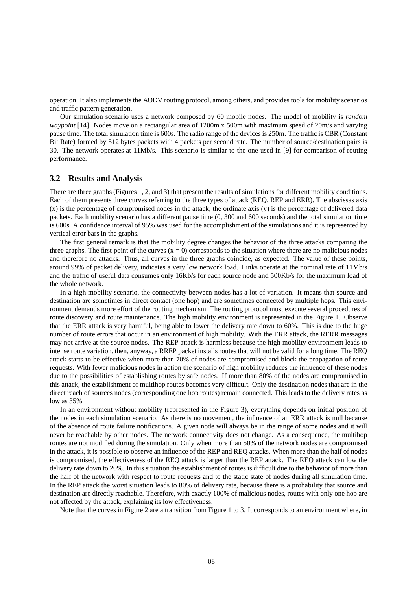operation. It also implements the AODV routing protocol, among others, and provides tools for mobility scenarios and traffic pattern generation.

Our simulation scenario uses a network composed by 60 mobile nodes. The model of mobility is *random waypoint* [14]. Nodes move on a rectangular area of 1200m x 500m with maximum speed of 20m/s and varying pause time. The total simulation time is 600s. The radio range of the devices is 250m. The traffic is CBR (Constant Bit Rate) formed by 512 bytes packets with 4 packets per second rate. The number of source/destination pairs is 30. The network operates at 11Mb/s. This scenario is similar to the one used in [9] for comparison of routing performance.

#### **3.2 Results and Analysis**

There are three graphs (Figures 1, 2, and 3) that present the results of simulations for different mobility conditions. Each of them presents three curves referring to the three types of attack (REQ, REP and ERR). The abscissas axis (x) is the percentage of compromised nodes in the attack, the ordinate axis (y) is the percentage of delivered data packets. Each mobility scenario has a different pause time (0, 300 and 600 seconds) and the total simulation time is 600s. A confidence interval of 95% was used for the accomplishment of the simulations and it is represented by vertical error bars in the graphs.

The first general remark is that the mobility degree changes the behavior of the three attacks comparing the three graphs. The first point of the curves  $(x = 0)$  corresponds to the situation where there are no malicious nodes and therefore no attacks. Thus, all curves in the three graphs coincide, as expected. The value of these points, around 99% of packet delivery, indicates a very low network load. Links operate at the nominal rate of 11Mb/s and the traffic of useful data consumes only 16Kb/s for each source node and 500Kb/s for the maximum load of the whole network.

In a high mobility scenario, the connectivity between nodes has a lot of variation. It means that source and destination are sometimes in direct contact (one hop) and are sometimes connected by multiple hops. This environment demands more effort of the routing mechanism. The routing protocol must execute several procedures of route discovery and route maintenance. The high mobility environment is represented in the Figure 1. Observe that the ERR attack is very harmful, being able to lower the delivery rate down to 60%. This is due to the huge number of route errors that occur in an environment of high mobility. With the ERR attack, the RERR messages may not arrive at the source nodes. The REP attack is harmless because the high mobility environment leads to intense route variation, then, anyway, a RREP packet installs routes that will not be valid for a long time. The REQ attack starts to be effective when more than 70% of nodes are compromised and block the propagation of route requests. With fewer malicious nodes in action the scenario of high mobility reduces the influence of these nodes due to the possibilities of establishing routes by safe nodes. If more than 80% of the nodes are compromised in this attack, the establishment of multihop routes becomes very difficult. Only the destination nodes that are in the direct reach of sources nodes (corresponding one hop routes) remain connected. This leads to the delivery rates as low as 35%.

In an environment without mobility (represented in the Figure 3), everything depends on initial position of the nodes in each simulation scenario. As there is no movement, the influence of an ERR attack is null because of the absence of route failure notifications. A given node will always be in the range of some nodes and it will never be reachable by other nodes. The network connectivity does not change. As a consequence, the multihop routes are not modified during the simulation. Only when more than 50% of the network nodes are compromised in the attack, it is possible to observe an influence of the REP and REQ attacks. When more than the half of nodes is compromised, the effectiveness of the REQ attack is larger than the REP attack. The REQ attack can low the delivery rate down to 20%. In this situation the establishment of routes is difficult due to the behavior of more than the half of the network with respect to route requests and to the static state of nodes during all simulation time. In the REP attack the worst situation leads to 80% of delivery rate, because there is a probability that source and destination are directly reachable. Therefore, with exactly 100% of malicious nodes, routes with only one hop are not affected by the attack, explaining its low effectiveness.

Note that the curves in Figure 2 are a transition from Figure 1 to 3. It corresponds to an environment where, in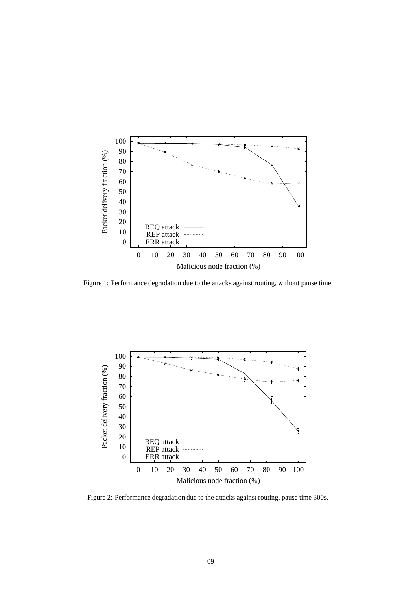

Figure 1: Performance degradation due to the attacks against routing, without pause time.



Figure 2: Performance degradation due to the attacks against routing, pause time 300s.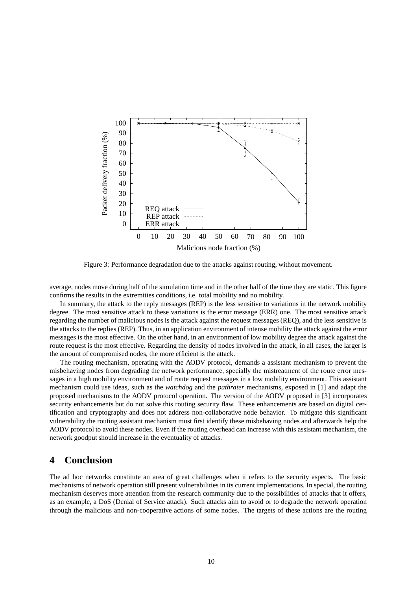

Figure 3: Performance degradation due to the attacks against routing, without movement.

average, nodes move during half of the simulation time and in the other half of the time they are static. This figure confirms the results in the extremities conditions, i.e. total mobility and no mobility.

In summary, the attack to the reply messages (REP) is the less sensitive to variations in the network mobility degree. The most sensitive attack to these variations is the error message (ERR) one. The most sensitive attack regarding the number of malicious nodes is the attack against the request messages (REQ), and the less sensitive is the attacks to the replies (REP). Thus, in an application environment of intense mobility the attack against the error messages is the most effective. On the other hand, in an environment of low mobility degree the attack against the route request is the most effective. Regarding the density of nodes involved in the attack, in all cases, the larger is the amount of compromised nodes, the more efficient is the attack.

The routing mechanism, operating with the AODV protocol, demands a assistant mechanism to prevent the misbehaving nodes from degrading the network performance, specially the mistreatment of the route error messages in a high mobility environment and of route request messages in a low mobility environment. This assistant mechanism could use ideas, such as the *watchdog* and the *pathrater* mechanisms, exposed in [1] and adapt the proposed mechanisms to the AODV protocol operation. The version of the AODV proposed in [3] incorporates security enhancements but do not solve this routing security flaw. These enhancements are based on digital certification and cryptography and does not address non-collaborative node behavior. To mitigate this significant vulnerability the routing assistant mechanism must first identify these misbehaving nodes and afterwards help the AODV protocol to avoid these nodes. Even if the routing overhead can increase with this assistant mechanism, the network goodput should increase in the eventuality of attacks.

## **4 Conclusion**

The ad hoc networks constitute an area of great challenges when it refers to the security aspects. The basic mechanisms of network operation still present vulnerabilities in its current implementations. In special, the routing mechanism deserves more attention from the research community due to the possibilities of attacks that it offers, as an example, a DoS (Denial of Service attack). Such attacks aim to avoid or to degrade the network operation through the malicious and non-cooperative actions of some nodes. The targets of these actions are the routing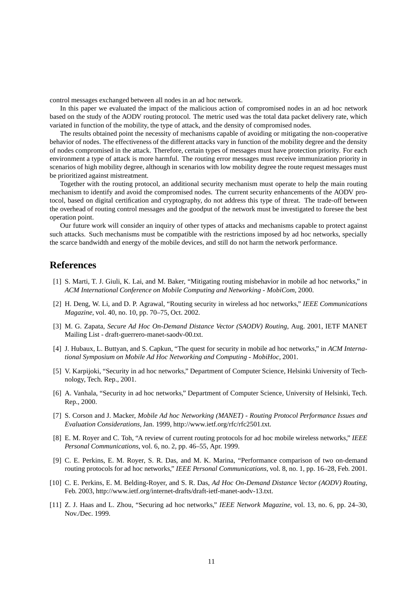control messages exchanged between all nodes in an ad hoc network.

In this paper we evaluated the impact of the malicious action of compromised nodes in an ad hoc network based on the study of the AODV routing protocol. The metric used was the total data packet delivery rate, which variated in function of the mobility, the type of attack, and the density of compromised nodes.

The results obtained point the necessity of mechanisms capable of avoiding or mitigating the non-cooperative behavior of nodes. The effectiveness of the different attacks vary in function of the mobility degree and the density of nodes compromised in the attack. Therefore, certain types of messages must have protection priority. For each environment a type of attack is more harmful. The routing error messages must receive immunization priority in scenarios of high mobility degree, although in scenarios with low mobility degree the route request messages must be prioritized against mistreatment.

Together with the routing protocol, an additional security mechanism must operate to help the main routing mechanism to identify and avoid the compromised nodes. The current security enhancements of the AODV protocol, based on digital certification and cryptography, do not address this type of threat. The trade-off between the overhead of routing control messages and the goodput of the network must be investigated to foresee the best operation point.

Our future work will consider an inquiry of other types of attacks and mechanisms capable to protect against such attacks. Such mechanisms must be compatible with the restrictions imposed by ad hoc networks, specially the scarce bandwidth and energy of the mobile devices, and still do not harm the network performance.

### **References**

- [1] S. Marti, T. J. Giuli, K. Lai, and M. Baker, "Mitigating routing misbehavior in mobile ad hoc networks," in *ACM International Conference on Mobile Computing and Networking - MobiCom*, 2000.
- [2] H. Deng, W. Li, and D. P. Agrawal, "Routing security in wireless ad hoc networks," *IEEE Communications Magazine*, vol. 40, no. 10, pp. 70–75, Oct. 2002.
- [3] M. G. Zapata, *Secure Ad Hoc On-Demand Distance Vector (SAODV) Routing*, Aug. 2001, IETF MANET Mailing List - draft-guerrero-manet-saodv-00.txt.
- [4] J. Hubaux, L. Buttyan, and S. Capkun, "The quest for security in mobile ad hoc networks," in *ACM International Symposium on Mobile Ad Hoc Networking and Computing - MobiHoc*, 2001.
- [5] V. Karpijoki, "Security in ad hoc networks," Department of Computer Science, Helsinki University of Technology, Tech. Rep., 2001.
- [6] A. Vanhala, "Security in ad hoc networks," Department of Computer Science, University of Helsinki, Tech. Rep., 2000.
- [7] S. Corson and J. Macker, *Mobile Ad hoc Networking (MANET) - Routing Protocol Performance Issues and Evaluation Considerations*, Jan. 1999, http://www.ietf.org/rfc/rfc2501.txt.
- [8] E. M. Royer and C. Toh, "A review of current routing protocols for ad hoc mobile wireless networks," *IEEE Personal Communications*, vol. 6, no. 2, pp. 46–55, Apr. 1999.
- [9] C. E. Perkins, E. M. Royer, S. R. Das, and M. K. Marina, "Performance comparison of two on-demand routing protocols for ad hoc networks," *IEEE Personal Communications*, vol. 8, no. 1, pp. 16–28, Feb. 2001.
- [10] C. E. Perkins, E. M. Belding-Royer, and S. R. Das, *Ad Hoc On-Demand Distance Vector (AODV) Routing*, Feb. 2003, http://www.ietf.org/internet-drafts/draft-ietf-manet-aodv-13.txt.
- [11] Z. J. Haas and L. Zhou, "Securing ad hoc networks," *IEEE Network Magazine*, vol. 13, no. 6, pp. 24–30, Nov./Dec. 1999.